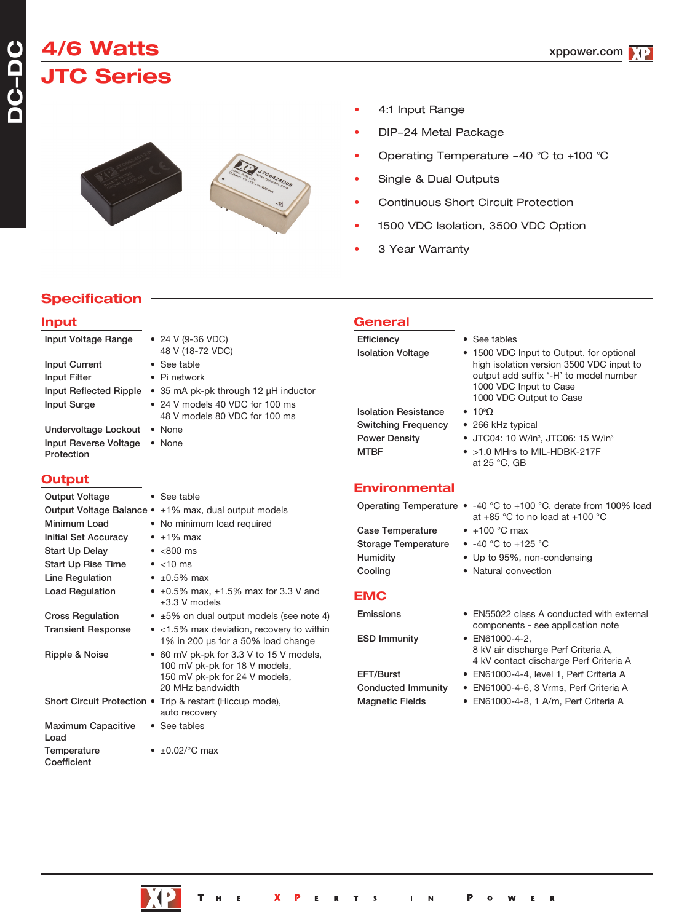# **4/6 Watts JTC Series**



- 4:1 Input Range
- DIP-24 Metal Package
- Operating Temperature -40 °C to +100 °C
- Single & Dual Outputs
- Continuous Short Circuit Protection
- 1500 VDC Isolation, 3500 VDC Option
- 3 Year Warranty

**General**

### **Specification**

#### **Input**

| Input Voltage Range                                                                                                         | • 24 V (9-36 VDC)<br>48 V (18-72 VDC)                                                                                         | Efficiency<br><b>Isolation Voltage</b>                                                           | • See tables<br>• 1500 VDC Input to Output, for optional                                                                                                                                                                    |
|-----------------------------------------------------------------------------------------------------------------------------|-------------------------------------------------------------------------------------------------------------------------------|--------------------------------------------------------------------------------------------------|-----------------------------------------------------------------------------------------------------------------------------------------------------------------------------------------------------------------------------|
| <b>Input Current</b><br>Input Filter                                                                                        | • See table<br>• Pi network                                                                                                   |                                                                                                  | high isolation version 3500 VDC input to<br>output add suffix '-H' to model number                                                                                                                                          |
| Input Reflected Ripple<br>Input Surge<br>Undervoltage Lockout . None<br>Input Reverse Voltage . None<br>Protection          | • 35 mA pk-pk through 12 µH inductor<br>• 24 V models 40 VDC for 100 ms<br>48 V models 80 VDC for 100 ms                      | <b>Isolation Resistance</b><br><b>Switching Frequency</b><br><b>Power Density</b><br><b>MTBF</b> | 1000 VDC Input to Case<br>1000 VDC Output to Case<br>$\bullet$ 10 <sup>9</sup> $\Omega$<br>• 266 kHz typical<br>• JTC04: 10 W/in <sup>3</sup> , JTC06: 15 W/in <sup>3</sup><br>• >1.0 MHrs to MIL-HDBK-217F<br>at 25 °C, GB |
| <b>Output</b>                                                                                                               |                                                                                                                               | <b>Environmental</b>                                                                             |                                                                                                                                                                                                                             |
| <b>Output Voltage</b>                                                                                                       | • See table                                                                                                                   |                                                                                                  | Operating Temperature $\bullet$ -40 °C to +100 °C, derate from 100% load                                                                                                                                                    |
|                                                                                                                             | Output Voltage Balance • ±1% max, dual output models                                                                          |                                                                                                  | at +85 °C to no load at +100 °C                                                                                                                                                                                             |
| Minimum Load<br><b>Initial Set Accuracy</b><br><b>Start Up Delay</b><br><b>Start Up Rise Time</b><br><b>Line Requlation</b> | • No minimum load required<br>$\bullet$ $\pm$ 1% max<br>$\bullet$ <800 ms<br>$\bullet$ <10 ms<br>• $\pm 0.5\%$ max            | <b>Case Temperature</b><br><b>Storage Temperature</b><br>Humidity<br>Cooling                     | $\bullet$ +100 °C max<br>• $-40$ °C to $+125$ °C<br>• Up to 95%, non-condensing<br>• Natural convection                                                                                                                     |
| <b>Load Regulation</b>                                                                                                      | • $\pm 0.5\%$ max, $\pm 1.5\%$ max for 3.3 V and<br>$±3.3$ V models                                                           | <b>EMC</b>                                                                                       |                                                                                                                                                                                                                             |
| <b>Cross Regulation</b>                                                                                                     | • ±5% on dual output models (see note 4)                                                                                      | Emissions                                                                                        | • EN55022 class A conducted with external                                                                                                                                                                                   |
| <b>Transient Response</b>                                                                                                   | • <1.5% max deviation, recovery to within<br>1% in 200 µs for a 50% load change                                               | <b>ESD Immunity</b>                                                                              | components - see application note<br>• EN61000-4-2,                                                                                                                                                                         |
| Ripple & Noise                                                                                                              | • 60 mV pk-pk for 3.3 V to 15 V models,<br>100 mV pk-pk for 18 V models,<br>150 mV pk-pk for 24 V models,<br>20 MHz bandwidth | EFT/Burst<br><b>Conducted Immunity</b>                                                           | 8 kV air discharge Perf Criteria A,<br>4 kV contact discharge Perf Criteria A<br>• EN61000-4-4, level 1, Perf Criteria A<br>· EN61000-4-6, 3 Vrms, Perf Criteria A                                                          |
|                                                                                                                             | Short Circuit Protection • Trip & restart (Hiccup mode),<br>auto recovery                                                     | <b>Magnetic Fields</b>                                                                           | · EN61000-4-8, 1 A/m, Perf Criteria A                                                                                                                                                                                       |
| <b>Maximum Capacitive</b><br>Load                                                                                           | • See tables                                                                                                                  |                                                                                                  |                                                                                                                                                                                                                             |

Temperature • ±0.02/°C max

Coefficient